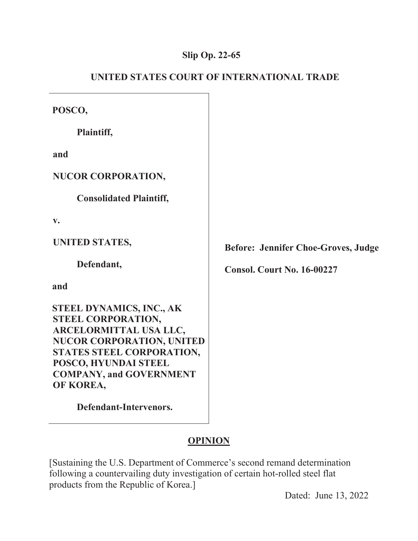### **Slip Op. 22-65**

| POSCO,                                                                                                                                                                                                           |                                            |
|------------------------------------------------------------------------------------------------------------------------------------------------------------------------------------------------------------------|--------------------------------------------|
| Plaintiff,                                                                                                                                                                                                       |                                            |
| and                                                                                                                                                                                                              |                                            |
| <b>NUCOR CORPORATION,</b>                                                                                                                                                                                        |                                            |
| <b>Consolidated Plaintiff,</b>                                                                                                                                                                                   |                                            |
| $\mathbf{v}_{\bullet}$                                                                                                                                                                                           |                                            |
| UNITED STATES,                                                                                                                                                                                                   | <b>Before: Jennifer Choe-Groves, Judge</b> |
| Defendant,                                                                                                                                                                                                       | <b>Consol. Court No. 16-00227</b>          |
| and                                                                                                                                                                                                              |                                            |
| STEEL DYNAMICS, INC., AK<br>STEEL CORPORATION,<br>ARCELORMITTAL USA LLC,<br><b>NUCOR CORPORATION, UNITED</b><br>STATES STEEL CORPORATION,<br>POSCO, HYUNDAI STEEL<br><b>COMPANY, and GOVERNMENT</b><br>OF KOREA, |                                            |
| Defendant-Intervenors.                                                                                                                                                                                           |                                            |

# **UNITED STATES COURT OF INTERNATIONAL TRADE**

## **OPINION**

[Sustaining the U.S. Department of Commerce's second remand determination following a countervailing duty investigation of certain hot-rolled steel flat products from the Republic of Korea.]

Dated: June 13, 2022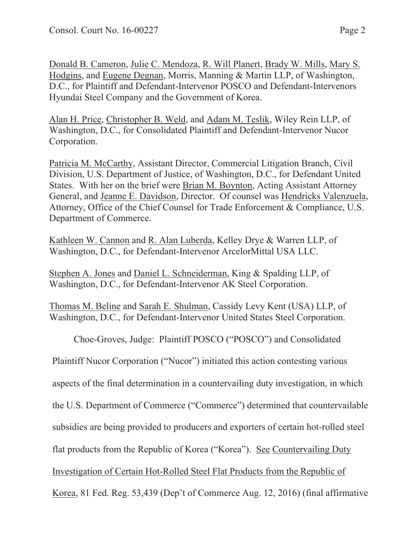Donald B. Cameron, Julie C. Mendoza, R. Will Planert, Brady W. Mills, Mary S. Hodgins, and Eugene Degnan, Morris, Manning & Martin LLP, of Washington, D.C., for Plaintiff and Defendant-Intervenor POSCO and Defendant-Intervenors Hyundai Steel Company and the Government of Korea.

Alan H. Price, Christopher B. Weld, and Adam M. Teslik, Wiley Rein LLP, of Washington, D.C., for Consolidated Plaintiff and Defendant-Intervenor Nucor Corporation.

Patricia M. McCarthy, Assistant Director, Commercial Litigation Branch, Civil Division, U.S. Department of Justice, of Washington, D.C., for Defendant United States. With her on the brief were Brian M. Boynton, Acting Assistant Attorney General, and Jeanne E. Davidson, Director. Of counsel was Hendricks Valenzuela, Attorney, Office of the Chief Counsel for Trade Enforcement & Compliance, U.S. Department of Commerce.

Kathleen W. Cannon and R. Alan Luberda, Kelley Drye & Warren LLP, of Washington, D.C., for Defendant-Intervenor ArcelorMittal USA LLC.

Stephen A. Jones and Daniel L. Schneiderman, King & Spalding LLP, of Washington, D.C., for Defendant-Intervenor AK Steel Corporation.

Thomas M. Beline and Sarah E. Shulman, Cassidy Levy Kent (USA) LLP, of Washington, D.C., for Defendant-Intervenor United States Steel Corporation.

Choe-Groves, Judge: Plaintiff POSCO ("POSCO") and Consolidated

Plaintiff Nucor Corporation ("Nucor") initiated this action contesting various

aspects of the final determination in a countervailing duty investigation, in which

the U.S. Department of Commerce ("Commerce") determined that countervailable

subsidies are being provided to producers and exporters of certain hot-rolled steel

flat products from the Republic of Korea ("Korea"). See Countervailing Duty

Investigation of Certain Hot-Rolled Steel Flat Products from the Republic of

Korea, 81 Fed. Reg. 53,439 (Dep't of Commerce Aug. 12, 2016) (final affirmative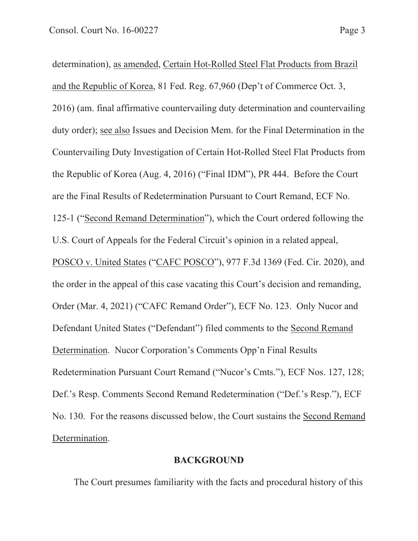determination), as amended, Certain Hot-Rolled Steel Flat Products from Brazil and the Republic of Korea, 81 Fed. Reg. 67,960 (Dep't of Commerce Oct. 3, 2016) (am. final affirmative countervailing duty determination and countervailing duty order); see also Issues and Decision Mem. for the Final Determination in the Countervailing Duty Investigation of Certain Hot-Rolled Steel Flat Products from the Republic of Korea (Aug. 4, 2016) ("Final IDM"), PR 444. Before the Court are the Final Results of Redetermination Pursuant to Court Remand, ECF No. 125-1 ("Second Remand Determination"), which the Court ordered following the U.S. Court of Appeals for the Federal Circuit's opinion in a related appeal,

POSCO v. United States ("CAFC POSCO"), 977 F.3d 1369 (Fed. Cir. 2020), and the order in the appeal of this case vacating this Court's decision and remanding, Order (Mar. 4, 2021) ("CAFC Remand Order"), ECF No. 123. Only Nucor and Defendant United States ("Defendant") filed comments to the Second Remand Determination. Nucor Corporation's Comments Opp'n Final Results Redetermination Pursuant Court Remand ("Nucor's Cmts."), ECF Nos. 127, 128; Def.'s Resp. Comments Second Remand Redetermination ("Def.'s Resp."), ECF No. 130. For the reasons discussed below, the Court sustains the Second Remand Determination.

#### **BACKGROUND**

The Court presumes familiarity with the facts and procedural history of this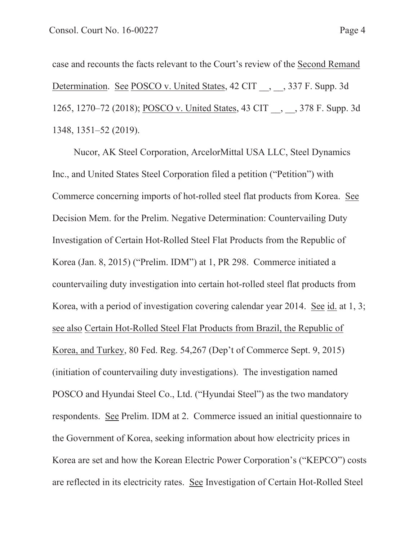case and recounts the facts relevant to the Court's review of the Second Remand Determination. See POSCO v. United States, 42 CIT , 337 F. Supp. 3d 1265, 1270–72 (2018); POSCO v. United States, 43 CIT \_\_, \_\_, 378 F. Supp. 3d 1348, 1351–52 (2019).

Nucor, AK Steel Corporation, ArcelorMittal USA LLC, Steel Dynamics Inc., and United States Steel Corporation filed a petition ("Petition") with Commerce concerning imports of hot-rolled steel flat products from Korea. See Decision Mem. for the Prelim. Negative Determination: Countervailing Duty Investigation of Certain Hot-Rolled Steel Flat Products from the Republic of Korea (Jan. 8, 2015) ("Prelim. IDM") at 1, PR 298. Commerce initiated a countervailing duty investigation into certain hot-rolled steel flat products from Korea, with a period of investigation covering calendar year 2014. See id. at 1, 3; see also Certain Hot-Rolled Steel Flat Products from Brazil, the Republic of Korea, and Turkey, 80 Fed. Reg. 54,267 (Dep't of Commerce Sept. 9, 2015) (initiation of countervailing duty investigations). The investigation named POSCO and Hyundai Steel Co., Ltd. ("Hyundai Steel") as the two mandatory respondents. See Prelim. IDM at 2. Commerce issued an initial questionnaire to the Government of Korea, seeking information about how electricity prices in Korea are set and how the Korean Electric Power Corporation's ("KEPCO") costs are reflected in its electricity rates. See Investigation of Certain Hot-Rolled Steel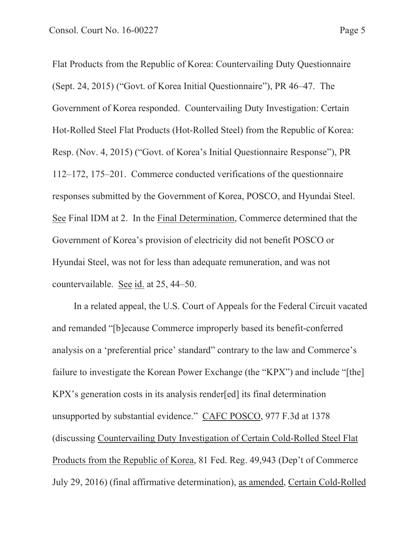Flat Products from the Republic of Korea: Countervailing Duty Questionnaire (Sept. 24, 2015) ("Govt. of Korea Initial Questionnaire"), PR 46–47. The Government of Korea responded. Countervailing Duty Investigation: Certain Hot-Rolled Steel Flat Products (Hot-Rolled Steel) from the Republic of Korea: Resp. (Nov. 4, 2015) ("Govt. of Korea's Initial Questionnaire Response"), PR 112–172, 175–201. Commerce conducted verifications of the questionnaire responses submitted by the Government of Korea, POSCO, and Hyundai Steel. See Final IDM at 2. In the Final Determination, Commerce determined that the Government of Korea's provision of electricity did not benefit POSCO or Hyundai Steel, was not for less than adequate remuneration, and was not countervailable. See id. at 25, 44–50.

In a related appeal, the U.S. Court of Appeals for the Federal Circuit vacated and remanded "[b]ecause Commerce improperly based its benefit-conferred analysis on a 'preferential price' standard" contrary to the law and Commerce's failure to investigate the Korean Power Exchange (the "KPX") and include "[the] KPX's generation costs in its analysis render[ed] its final determination unsupported by substantial evidence." CAFC POSCO, 977 F.3d at 1378 (discussing Countervailing Duty Investigation of Certain Cold-Rolled Steel Flat Products from the Republic of Korea, 81 Fed. Reg. 49,943 (Dep't of Commerce July 29, 2016) (final affirmative determination), as amended, Certain Cold-Rolled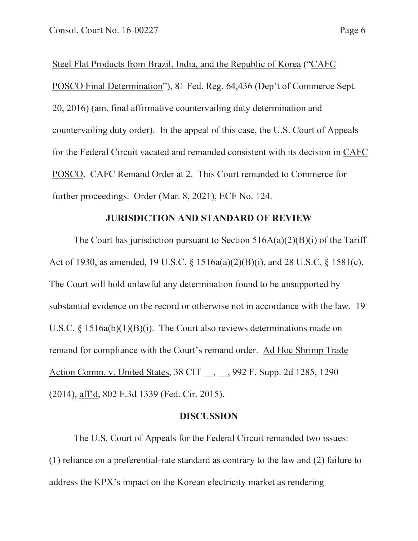Steel Flat Products from Brazil, India, and the Republic of Korea ("CAFC POSCO Final Determination"), 81 Fed. Reg. 64,436 (Dep't of Commerce Sept. 20, 2016) (am. final affirmative countervailing duty determination and countervailing duty order). In the appeal of this case, the U.S. Court of Appeals for the Federal Circuit vacated and remanded consistent with its decision in CAFC POSCO. CAFC Remand Order at 2. This Court remanded to Commerce for further proceedings. Order (Mar. 8, 2021), ECF No. 124.

#### **JURISDICTION AND STANDARD OF REVIEW**

The Court has jurisdiction pursuant to Section  $516A(a)(2)(B)(i)$  of the Tariff Act of 1930, as amended, 19 U.S.C. § 1516a(a)(2)(B)(i), and 28 U.S.C. § 1581(c). The Court will hold unlawful any determination found to be unsupported by substantial evidence on the record or otherwise not in accordance with the law. 19 U.S.C. § 1516a(b)(1)(B)(i). The Court also reviews determinations made on remand for compliance with the Court's remand order. Ad Hoc Shrimp Trade Action Comm. v. United States, 38 CIT , , 992 F. Supp. 2d 1285, 1290 (2014), aff'd, 802 F.3d 1339 (Fed. Cir. 2015).

#### **DISCUSSION**

The U.S. Court of Appeals for the Federal Circuit remanded two issues: (1) reliance on a preferential-rate standard as contrary to the law and (2) failure to address the KPX's impact on the Korean electricity market as rendering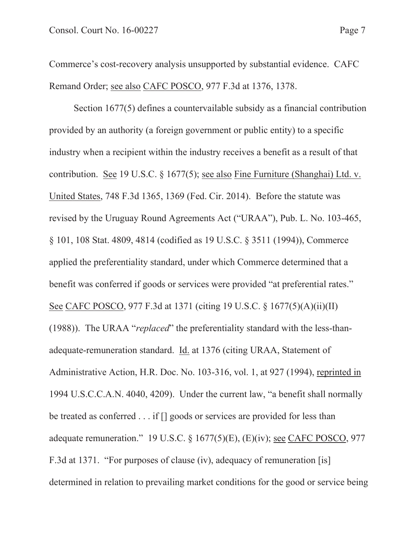Commerce's cost-recovery analysis unsupported by substantial evidence. CAFC Remand Order; see also CAFC POSCO, 977 F.3d at 1376, 1378.

Section 1677(5) defines a countervailable subsidy as a financial contribution provided by an authority (a foreign government or public entity) to a specific industry when a recipient within the industry receives a benefit as a result of that contribution. See 19 U.S.C. § 1677(5); see also Fine Furniture (Shanghai) Ltd. v. United States, 748 F.3d 1365, 1369 (Fed. Cir. 2014). Before the statute was revised by the Uruguay Round Agreements Act ("URAA"), Pub. L. No. 103-465, § 101, 108 Stat. 4809, 4814 (codified as 19 U.S.C. § 3511 (1994)), Commerce applied the preferentiality standard, under which Commerce determined that a benefit was conferred if goods or services were provided "at preferential rates." See CAFC POSCO, 977 F.3d at 1371 (citing 19 U.S.C. § 1677(5)(A)(ii)(II) (1988)). The URAA "*replaced*" the preferentiality standard with the less-thanadequate-remuneration standard. Id. at 1376 (citing URAA, Statement of Administrative Action, H.R. Doc. No. 103-316, vol. 1, at 927 (1994), reprinted in 1994 U.S.C.C.A.N. 4040, 4209). Under the current law, "a benefit shall normally be treated as conferred . . . if [] goods or services are provided for less than adequate remuneration." 19 U.S.C. § 1677(5)(E), (E)(iv); see CAFC POSCO, 977 F.3d at 1371. "For purposes of clause (iv), adequacy of remuneration [is] determined in relation to prevailing market conditions for the good or service being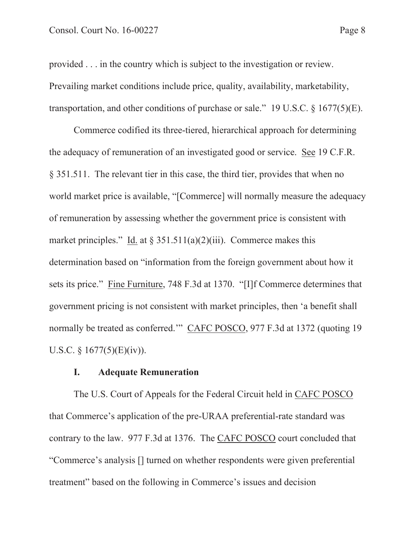provided . . . in the country which is subject to the investigation or review. Prevailing market conditions include price, quality, availability, marketability, transportation, and other conditions of purchase or sale." 19 U.S.C.  $\S$  1677(5)(E).

Commerce codified its three-tiered, hierarchical approach for determining the adequacy of remuneration of an investigated good or service. See 19 C.F.R. § 351.511. The relevant tier in this case, the third tier, provides that when no world market price is available, "[Commerce] will normally measure the adequacy of remuneration by assessing whether the government price is consistent with market principles." Id. at  $\S 351.511(a)(2)(iii)$ . Commerce makes this determination based on "information from the foreign government about how it sets its price." Fine Furniture, 748 F.3d at 1370. "[I]f Commerce determines that government pricing is not consistent with market principles, then 'a benefit shall normally be treated as conferred.'" CAFC POSCO, 977 F.3d at 1372 (quoting 19 U.S.C.  $§ 1677(5)(E)(iv)$ .

#### **I. Adequate Remuneration**

The U.S. Court of Appeals for the Federal Circuit held in CAFC POSCO that Commerce's application of the pre-URAA preferential-rate standard was contrary to the law. 977 F.3d at 1376. The CAFC POSCO court concluded that "Commerce's analysis [] turned on whether respondents were given preferential treatment" based on the following in Commerce's issues and decision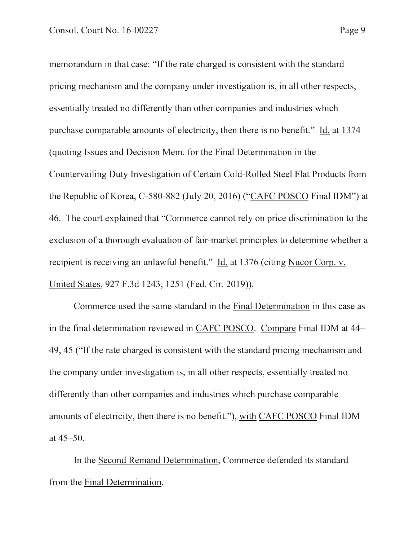memorandum in that case: "If the rate charged is consistent with the standard pricing mechanism and the company under investigation is, in all other respects, essentially treated no differently than other companies and industries which purchase comparable amounts of electricity, then there is no benefit." Id. at 1374 (quoting Issues and Decision Mem. for the Final Determination in the Countervailing Duty Investigation of Certain Cold-Rolled Steel Flat Products from the Republic of Korea, C-580-882 (July 20, 2016) ("CAFC POSCO Final IDM") at 46. The court explained that "Commerce cannot rely on price discrimination to the exclusion of a thorough evaluation of fair-market principles to determine whether a recipient is receiving an unlawful benefit." Id. at 1376 (citing Nucor Corp. v. United States, 927 F.3d 1243, 1251 (Fed. Cir. 2019)).

 Commerce used the same standard in the Final Determination in this case as in the final determination reviewed in CAFC POSCO. Compare Final IDM at 44– 49, 45 ("If the rate charged is consistent with the standard pricing mechanism and the company under investigation is, in all other respects, essentially treated no differently than other companies and industries which purchase comparable amounts of electricity, then there is no benefit."), with CAFC POSCO Final IDM at 45–50.

 In the Second Remand Determination, Commerce defended its standard from the Final Determination.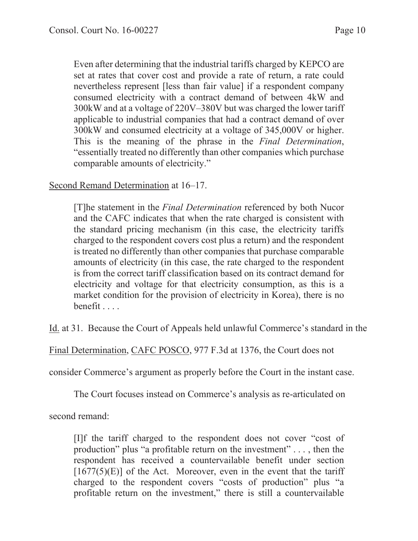Even after determining that the industrial tariffs charged by KEPCO are set at rates that cover cost and provide a rate of return, a rate could nevertheless represent [less than fair value] if a respondent company consumed electricity with a contract demand of between 4kW and 300kW and at a voltage of 220V–380V but was charged the lower tariff applicable to industrial companies that had a contract demand of over 300kW and consumed electricity at a voltage of 345,000V or higher. This is the meaning of the phrase in the *Final Determination*, "essentially treated no differently than other companies which purchase comparable amounts of electricity."

### Second Remand Determination at 16–17.

[T]he statement in the *Final Determination* referenced by both Nucor and the CAFC indicates that when the rate charged is consistent with the standard pricing mechanism (in this case, the electricity tariffs charged to the respondent covers cost plus a return) and the respondent is treated no differently than other companies that purchase comparable amounts of electricity (in this case, the rate charged to the respondent is from the correct tariff classification based on its contract demand for electricity and voltage for that electricity consumption, as this is a market condition for the provision of electricity in Korea), there is no benefit . . . .

Id. at 31. Because the Court of Appeals held unlawful Commerce's standard in the

Final Determination, CAFC POSCO, 977 F.3d at 1376, the Court does not

consider Commerce's argument as properly before the Court in the instant case.

The Court focuses instead on Commerce's analysis as re-articulated on

second remand:

[I]f the tariff charged to the respondent does not cover "cost of production" plus "a profitable return on the investment" . . . , then the respondent has received a countervailable benefit under section  $[1677(5)(E)]$  of the Act. Moreover, even in the event that the tariff charged to the respondent covers "costs of production" plus "a profitable return on the investment," there is still a countervailable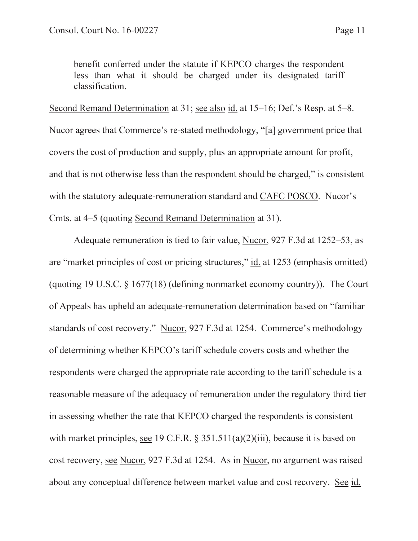benefit conferred under the statute if KEPCO charges the respondent less than what it should be charged under its designated tariff classification.

Second Remand Determination at 31; see also id. at 15–16; Def.'s Resp. at 5–8. Nucor agrees that Commerce's re-stated methodology, "[a] government price that covers the cost of production and supply, plus an appropriate amount for profit, and that is not otherwise less than the respondent should be charged," is consistent with the statutory adequate-remuneration standard and CAFC POSCO. Nucor's Cmts. at 4–5 (quoting Second Remand Determination at 31).

 Adequate remuneration is tied to fair value, Nucor, 927 F.3d at 1252–53, as are "market principles of cost or pricing structures," id. at 1253 (emphasis omitted) (quoting 19 U.S.C. § 1677(18) (defining nonmarket economy country)). The Court of Appeals has upheld an adequate-remuneration determination based on "familiar standards of cost recovery." Nucor, 927 F.3d at 1254. Commerce's methodology of determining whether KEPCO's tariff schedule covers costs and whether the respondents were charged the appropriate rate according to the tariff schedule is a reasonable measure of the adequacy of remuneration under the regulatory third tier in assessing whether the rate that KEPCO charged the respondents is consistent with market principles, see 19 C.F.R. § 351.511(a)(2)(iii), because it is based on cost recovery, see Nucor, 927 F.3d at 1254. As in Nucor, no argument was raised about any conceptual difference between market value and cost recovery. See id.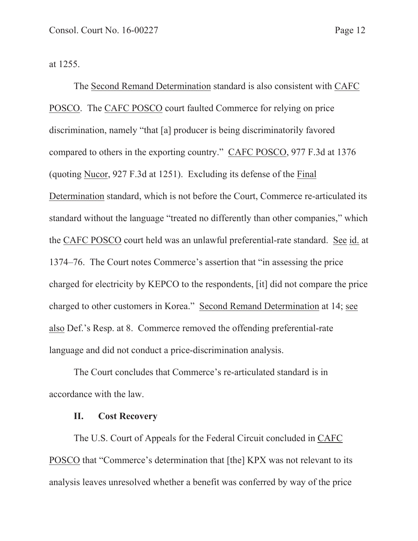at 1255.

 The Second Remand Determination standard is also consistent with CAFC POSCO. The CAFC POSCO court faulted Commerce for relying on price discrimination, namely "that [a] producer is being discriminatorily favored compared to others in the exporting country." CAFC POSCO, 977 F.3d at 1376 (quoting Nucor, 927 F.3d at 1251). Excluding its defense of the Final Determination standard, which is not before the Court, Commerce re-articulated its standard without the language "treated no differently than other companies," which the CAFC POSCO court held was an unlawful preferential-rate standard. See id. at 1374–76. The Court notes Commerce's assertion that "in assessing the price charged for electricity by KEPCO to the respondents, [it] did not compare the price charged to other customers in Korea." Second Remand Determination at 14; see also Def.'s Resp. at 8. Commerce removed the offending preferential-rate language and did not conduct a price-discrimination analysis.

 The Court concludes that Commerce's re-articulated standard is in accordance with the law.

#### **II. Cost Recovery**

 The U.S. Court of Appeals for the Federal Circuit concluded in CAFC POSCO that "Commerce's determination that [the] KPX was not relevant to its analysis leaves unresolved whether a benefit was conferred by way of the price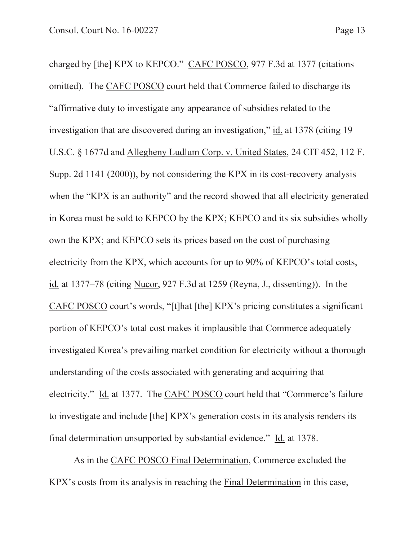charged by [the] KPX to KEPCO." CAFC POSCO, 977 F.3d at 1377 (citations omitted). The CAFC POSCO court held that Commerce failed to discharge its "affirmative duty to investigate any appearance of subsidies related to the investigation that are discovered during an investigation," id. at 1378 (citing 19 U.S.C. § 1677d and Allegheny Ludlum Corp. v. United States, 24 CIT 452, 112 F. Supp. 2d 1141 (2000)), by not considering the KPX in its cost-recovery analysis when the "KPX is an authority" and the record showed that all electricity generated in Korea must be sold to KEPCO by the KPX; KEPCO and its six subsidies wholly own the KPX; and KEPCO sets its prices based on the cost of purchasing electricity from the KPX, which accounts for up to 90% of KEPCO's total costs, id. at 1377–78 (citing Nucor, 927 F.3d at 1259 (Reyna, J., dissenting)). In the CAFC POSCO court's words, "[t]hat [the] KPX's pricing constitutes a significant portion of KEPCO's total cost makes it implausible that Commerce adequately investigated Korea's prevailing market condition for electricity without a thorough understanding of the costs associated with generating and acquiring that electricity." Id. at 1377. The CAFC POSCO court held that "Commerce's failure to investigate and include [the] KPX's generation costs in its analysis renders its final determination unsupported by substantial evidence." Id. at 1378.

As in the CAFC POSCO Final Determination, Commerce excluded the KPX's costs from its analysis in reaching the Final Determination in this case,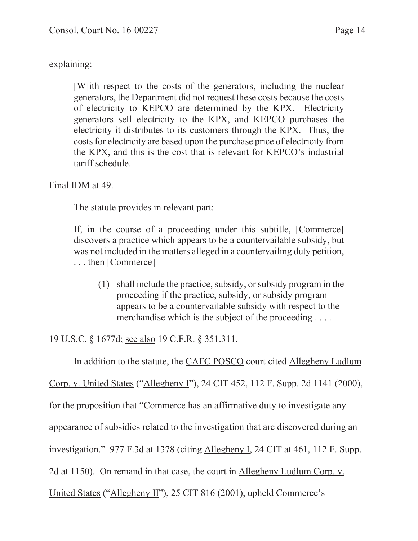## explaining:

[W]ith respect to the costs of the generators, including the nuclear generators, the Department did not request these costs because the costs of electricity to KEPCO are determined by the KPX. Electricity generators sell electricity to the KPX, and KEPCO purchases the electricity it distributes to its customers through the KPX. Thus, the costs for electricity are based upon the purchase price of electricity from the KPX, and this is the cost that is relevant for KEPCO's industrial tariff schedule.

Final IDM at 49.

The statute provides in relevant part:

If, in the course of a proceeding under this subtitle, [Commerce] discovers a practice which appears to be a countervailable subsidy, but was not included in the matters alleged in a countervailing duty petition, . . . then [Commerce]

 (1) shall include the practice, subsidy, or subsidy program in the proceeding if the practice, subsidy, or subsidy program appears to be a countervailable subsidy with respect to the merchandise which is the subject of the proceeding ....

19 U.S.C. § 1677d; see also 19 C.F.R. § 351.311.

In addition to the statute, the CAFC POSCO court cited Allegheny Ludlum

Corp. v. United States ("Allegheny I"), 24 CIT 452, 112 F. Supp. 2d 1141 (2000),

for the proposition that "Commerce has an affirmative duty to investigate any

appearance of subsidies related to the investigation that are discovered during an

investigation." 977 F.3d at 1378 (citing Allegheny I, 24 CIT at 461, 112 F. Supp.

2d at 1150). On remand in that case, the court in Allegheny Ludlum Corp. v.

United States ("Allegheny II"), 25 CIT 816 (2001), upheld Commerce's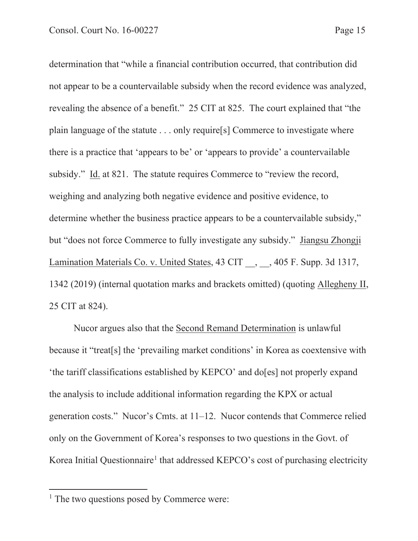determination that "while a financial contribution occurred, that contribution did not appear to be a countervailable subsidy when the record evidence was analyzed, revealing the absence of a benefit." 25 CIT at 825. The court explained that "the plain language of the statute . . . only require[s] Commerce to investigate where there is a practice that 'appears to be' or 'appears to provide' a countervailable subsidy." Id. at 821. The statute requires Commerce to "review the record, weighing and analyzing both negative evidence and positive evidence, to determine whether the business practice appears to be a countervailable subsidy," but "does not force Commerce to fully investigate any subsidy." Jiangsu Zhongji Lamination Materials Co. v. United States, 43 CIT , 405 F. Supp. 3d 1317, 1342 (2019) (internal quotation marks and brackets omitted) (quoting Allegheny II, 25 CIT at 824).

 Nucor argues also that the Second Remand Determination is unlawful because it "treat[s] the 'prevailing market conditions' in Korea as coextensive with 'the tariff classifications established by KEPCO' and do[es] not properly expand the analysis to include additional information regarding the KPX or actual generation costs." Nucor's Cmts. at 11–12. Nucor contends that Commerce relied only on the Government of Korea's responses to two questions in the Govt. of Korea Initial Questionnaire<sup>1</sup> that addressed KEPCO's cost of purchasing electricity

<sup>&</sup>lt;sup>1</sup> The two questions posed by Commerce were: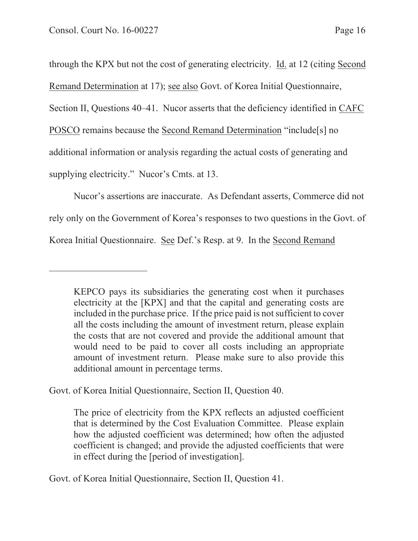through the KPX but not the cost of generating electricity. Id. at 12 (citing Second Remand Determination at 17); see also Govt. of Korea Initial Questionnaire, Section II, Questions 40–41. Nucor asserts that the deficiency identified in CAFC POSCO remains because the Second Remand Determination "include[s] no additional information or analysis regarding the actual costs of generating and supplying electricity." Nucor's Cmts. at 13.

 Nucor's assertions are inaccurate. As Defendant asserts, Commerce did not rely only on the Government of Korea's responses to two questions in the Govt. of Korea Initial Questionnaire. See Def.'s Resp. at 9. In the Second Remand

Govt. of Korea Initial Questionnaire, Section II, Question 40.

The price of electricity from the KPX reflects an adjusted coefficient that is determined by the Cost Evaluation Committee. Please explain how the adjusted coefficient was determined; how often the adjusted coefficient is changed; and provide the adjusted coefficients that were in effect during the [period of investigation].

Govt. of Korea Initial Questionnaire, Section II, Question 41.

KEPCO pays its subsidiaries the generating cost when it purchases electricity at the [KPX] and that the capital and generating costs are included in the purchase price. If the price paid is not sufficient to cover all the costs including the amount of investment return, please explain the costs that are not covered and provide the additional amount that would need to be paid to cover all costs including an appropriate amount of investment return. Please make sure to also provide this additional amount in percentage terms.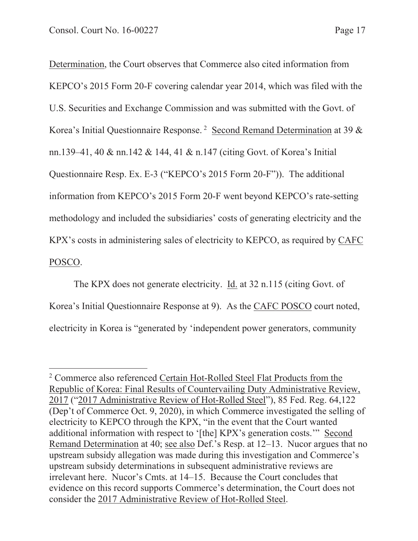Determination, the Court observes that Commerce also cited information from KEPCO's 2015 Form 20-F covering calendar year 2014, which was filed with the U.S. Securities and Exchange Commission and was submitted with the Govt. of Korea's Initial Questionnaire Response. 2 Second Remand Determination at 39 & nn.139–41, 40 & nn.142 & 144, 41 & n.147 (citing Govt. of Korea's Initial Questionnaire Resp. Ex. E-3 ("KEPCO's 2015 Form 20-F")). The additional information from KEPCO's 2015 Form 20-F went beyond KEPCO's rate-setting methodology and included the subsidiaries' costs of generating electricity and the KPX's costs in administering sales of electricity to KEPCO, as required by CAFC POSCO.

 The KPX does not generate electricity. Id. at 32 n.115 (citing Govt. of Korea's Initial Questionnaire Response at 9). As the CAFC POSCO court noted, electricity in Korea is "generated by 'independent power generators, community

<sup>&</sup>lt;sup>2</sup> Commerce also referenced Certain Hot-Rolled Steel Flat Products from the Republic of Korea: Final Results of Countervailing Duty Administrative Review, 2017 ("2017 Administrative Review of Hot-Rolled Steel"), 85 Fed. Reg. 64,122 (Dep't of Commerce Oct. 9, 2020), in which Commerce investigated the selling of electricity to KEPCO through the KPX, "in the event that the Court wanted additional information with respect to '[the] KPX's generation costs." Second Remand Determination at 40; see also Def.'s Resp. at 12–13. Nucor argues that no upstream subsidy allegation was made during this investigation and Commerce's upstream subsidy determinations in subsequent administrative reviews are irrelevant here. Nucor's Cmts. at 14–15. Because the Court concludes that evidence on this record supports Commerce's determination, the Court does not consider the 2017 Administrative Review of Hot-Rolled Steel.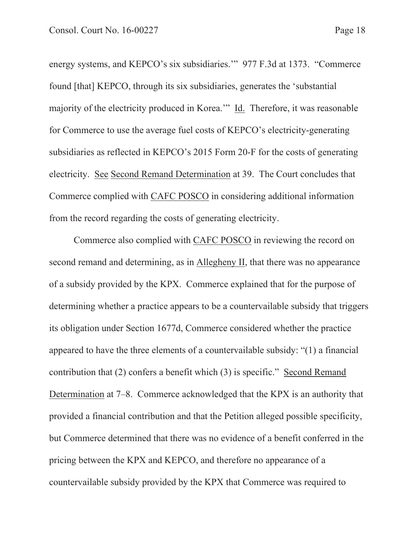energy systems, and KEPCO's six subsidiaries.'" 977 F.3d at 1373. "Commerce found [that] KEPCO, through its six subsidiaries, generates the 'substantial majority of the electricity produced in Korea.'" Id. Therefore, it was reasonable for Commerce to use the average fuel costs of KEPCO's electricity-generating subsidiaries as reflected in KEPCO's 2015 Form 20-F for the costs of generating electricity. See Second Remand Determination at 39. The Court concludes that Commerce complied with CAFC POSCO in considering additional information from the record regarding the costs of generating electricity.

 Commerce also complied with CAFC POSCO in reviewing the record on second remand and determining, as in Allegheny II, that there was no appearance of a subsidy provided by the KPX. Commerce explained that for the purpose of determining whether a practice appears to be a countervailable subsidy that triggers its obligation under Section 1677d, Commerce considered whether the practice appeared to have the three elements of a countervailable subsidy: "(1) a financial contribution that (2) confers a benefit which (3) is specific." Second Remand Determination at 7–8. Commerce acknowledged that the KPX is an authority that provided a financial contribution and that the Petition alleged possible specificity, but Commerce determined that there was no evidence of a benefit conferred in the pricing between the KPX and KEPCO, and therefore no appearance of a countervailable subsidy provided by the KPX that Commerce was required to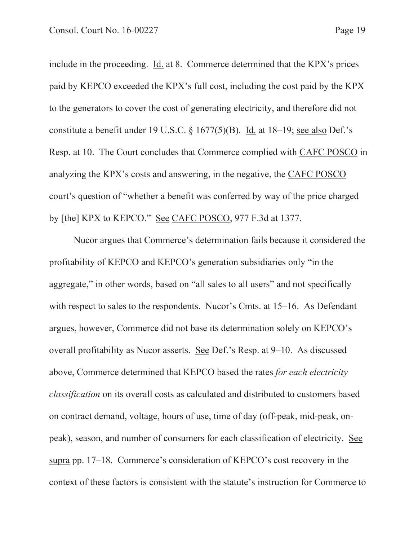include in the proceeding. Id. at 8. Commerce determined that the KPX's prices paid by KEPCO exceeded the KPX's full cost, including the cost paid by the KPX to the generators to cover the cost of generating electricity, and therefore did not constitute a benefit under 19 U.S.C. § 1677(5)(B). Id. at 18–19; see also Def.'s Resp. at 10. The Court concludes that Commerce complied with CAFC POSCO in analyzing the KPX's costs and answering, in the negative, the CAFC POSCO court's question of "whether a benefit was conferred by way of the price charged by [the] KPX to KEPCO." See CAFC POSCO, 977 F.3d at 1377.

 Nucor argues that Commerce's determination fails because it considered the profitability of KEPCO and KEPCO's generation subsidiaries only "in the aggregate," in other words, based on "all sales to all users" and not specifically with respect to sales to the respondents. Nucor's Cmts. at 15–16. As Defendant argues, however, Commerce did not base its determination solely on KEPCO's overall profitability as Nucor asserts. See Def.'s Resp. at 9–10. As discussed above, Commerce determined that KEPCO based the rates *for each electricity classification* on its overall costs as calculated and distributed to customers based on contract demand, voltage, hours of use, time of day (off-peak, mid-peak, onpeak), season, and number of consumers for each classification of electricity. See supra pp. 17–18. Commerce's consideration of KEPCO's cost recovery in the context of these factors is consistent with the statute's instruction for Commerce to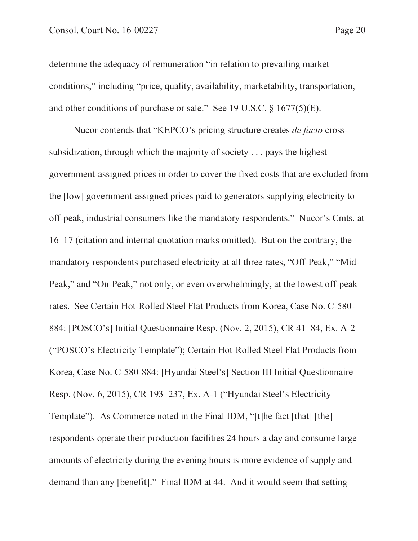determine the adequacy of remuneration "in relation to prevailing market conditions," including "price, quality, availability, marketability, transportation, and other conditions of purchase or sale." See 19 U.S.C. § 1677(5)(E).

 Nucor contends that "KEPCO's pricing structure creates *de facto* crosssubsidization, through which the majority of society . . . pays the highest government-assigned prices in order to cover the fixed costs that are excluded from the [low] government-assigned prices paid to generators supplying electricity to off-peak, industrial consumers like the mandatory respondents." Nucor's Cmts. at 16–17 (citation and internal quotation marks omitted). But on the contrary, the mandatory respondents purchased electricity at all three rates, "Off-Peak," "Mid-Peak," and "On-Peak," not only, or even overwhelmingly, at the lowest off-peak rates. See Certain Hot-Rolled Steel Flat Products from Korea, Case No. C-580- 884: [POSCO's] Initial Questionnaire Resp. (Nov. 2, 2015), CR 41–84, Ex. A-2 ("POSCO's Electricity Template"); Certain Hot-Rolled Steel Flat Products from Korea, Case No. C-580-884: [Hyundai Steel's] Section III Initial Questionnaire Resp. (Nov. 6, 2015), CR 193–237, Ex. A-1 ("Hyundai Steel's Electricity Template"). As Commerce noted in the Final IDM, "[t]he fact [that] [the] respondents operate their production facilities 24 hours a day and consume large amounts of electricity during the evening hours is more evidence of supply and demand than any [benefit]." Final IDM at 44. And it would seem that setting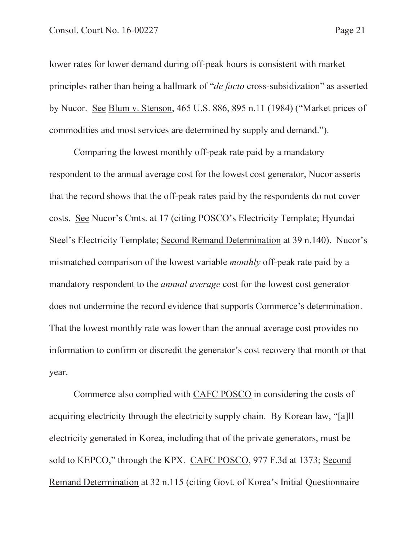lower rates for lower demand during off-peak hours is consistent with market principles rather than being a hallmark of "*de facto* cross-subsidization" as asserted by Nucor. See Blum v. Stenson, 465 U.S. 886, 895 n.11 (1984) ("Market prices of commodities and most services are determined by supply and demand.").

 Comparing the lowest monthly off-peak rate paid by a mandatory respondent to the annual average cost for the lowest cost generator, Nucor asserts that the record shows that the off-peak rates paid by the respondents do not cover costs. See Nucor's Cmts. at 17 (citing POSCO's Electricity Template; Hyundai Steel's Electricity Template; Second Remand Determination at 39 n.140). Nucor's mismatched comparison of the lowest variable *monthly* off-peak rate paid by a mandatory respondent to the *annual average* cost for the lowest cost generator does not undermine the record evidence that supports Commerce's determination. That the lowest monthly rate was lower than the annual average cost provides no information to confirm or discredit the generator's cost recovery that month or that year.

 Commerce also complied with CAFC POSCO in considering the costs of acquiring electricity through the electricity supply chain. By Korean law, "[a]ll electricity generated in Korea, including that of the private generators, must be sold to KEPCO," through the KPX. CAFC POSCO, 977 F.3d at 1373; Second Remand Determination at 32 n.115 (citing Govt. of Korea's Initial Questionnaire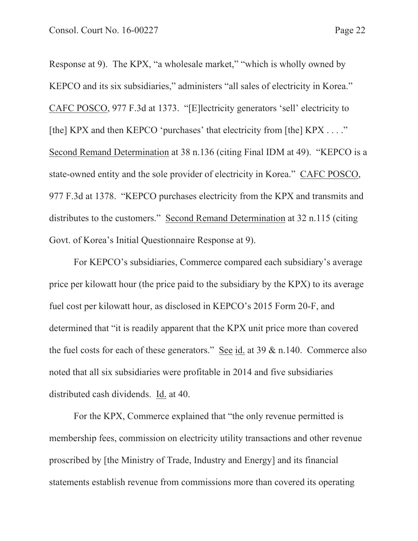Response at 9). The KPX, "a wholesale market," "which is wholly owned by KEPCO and its six subsidiaries," administers "all sales of electricity in Korea." CAFC POSCO, 977 F.3d at 1373. "[E]lectricity generators 'sell' electricity to [the] KPX and then KEPCO 'purchases' that electricity from [the] KPX . . . ." Second Remand Determination at 38 n.136 (citing Final IDM at 49). "KEPCO is a state-owned entity and the sole provider of electricity in Korea." CAFC POSCO, 977 F.3d at 1378. "KEPCO purchases electricity from the KPX and transmits and distributes to the customers." Second Remand Determination at 32 n.115 (citing Govt. of Korea's Initial Questionnaire Response at 9).

 For KEPCO's subsidiaries, Commerce compared each subsidiary's average price per kilowatt hour (the price paid to the subsidiary by the KPX) to its average fuel cost per kilowatt hour, as disclosed in KEPCO's 2015 Form 20-F, and determined that "it is readily apparent that the KPX unit price more than covered the fuel costs for each of these generators." See id. at  $39 \& n.140$ . Commerce also noted that all six subsidiaries were profitable in 2014 and five subsidiaries distributed cash dividends. Id. at 40.

 For the KPX, Commerce explained that "the only revenue permitted is membership fees, commission on electricity utility transactions and other revenue proscribed by [the Ministry of Trade, Industry and Energy] and its financial statements establish revenue from commissions more than covered its operating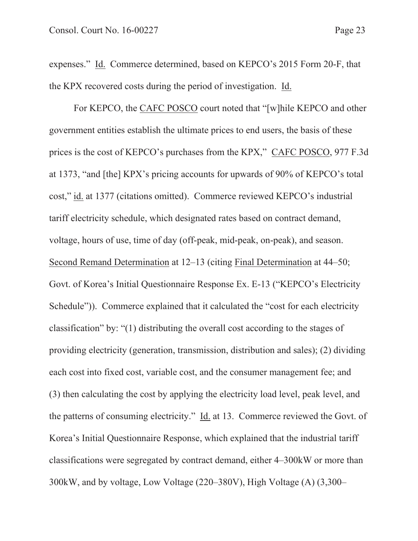expenses." Id. Commerce determined, based on KEPCO's 2015 Form 20-F, that the KPX recovered costs during the period of investigation. Id.

For KEPCO, the CAFC POSCO court noted that "[w]hile KEPCO and other government entities establish the ultimate prices to end users, the basis of these prices is the cost of KEPCO's purchases from the KPX," CAFC POSCO, 977 F.3d at 1373, "and [the] KPX's pricing accounts for upwards of 90% of KEPCO's total cost," id. at 1377 (citations omitted). Commerce reviewed KEPCO's industrial tariff electricity schedule, which designated rates based on contract demand, voltage, hours of use, time of day (off-peak, mid-peak, on-peak), and season. Second Remand Determination at 12–13 (citing Final Determination at 44–50; Govt. of Korea's Initial Questionnaire Response Ex. E-13 ("KEPCO's Electricity Schedule")). Commerce explained that it calculated the "cost for each electricity classification" by: "(1) distributing the overall cost according to the stages of providing electricity (generation, transmission, distribution and sales); (2) dividing each cost into fixed cost, variable cost, and the consumer management fee; and (3) then calculating the cost by applying the electricity load level, peak level, and the patterns of consuming electricity." Id. at 13. Commerce reviewed the Govt. of Korea's Initial Questionnaire Response, which explained that the industrial tariff classifications were segregated by contract demand, either 4–300kW or more than 300kW, and by voltage, Low Voltage (220–380V), High Voltage (A) (3,300–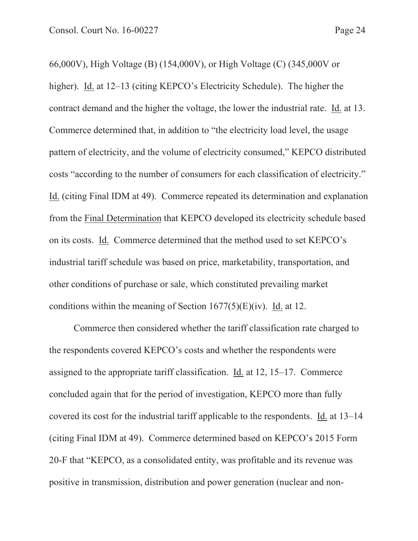66,000V), High Voltage (B) (154,000V), or High Voltage (C) (345,000V or higher). Id. at 12–13 (citing KEPCO's Electricity Schedule). The higher the contract demand and the higher the voltage, the lower the industrial rate. Id. at 13. Commerce determined that, in addition to "the electricity load level, the usage pattern of electricity, and the volume of electricity consumed," KEPCO distributed costs "according to the number of consumers for each classification of electricity." Id. (citing Final IDM at 49). Commerce repeated its determination and explanation from the Final Determination that KEPCO developed its electricity schedule based on its costs. Id. Commerce determined that the method used to set KEPCO's industrial tariff schedule was based on price, marketability, transportation, and other conditions of purchase or sale, which constituted prevailing market conditions within the meaning of Section  $1677(5)(E)(iv)$ . Id. at 12.

Commerce then considered whether the tariff classification rate charged to the respondents covered KEPCO's costs and whether the respondents were assigned to the appropriate tariff classification. Id. at 12, 15–17. Commerce concluded again that for the period of investigation, KEPCO more than fully covered its cost for the industrial tariff applicable to the respondents. Id. at 13–14 (citing Final IDM at 49). Commerce determined based on KEPCO's 2015 Form 20-F that "KEPCO, as a consolidated entity, was profitable and its revenue was positive in transmission, distribution and power generation (nuclear and non